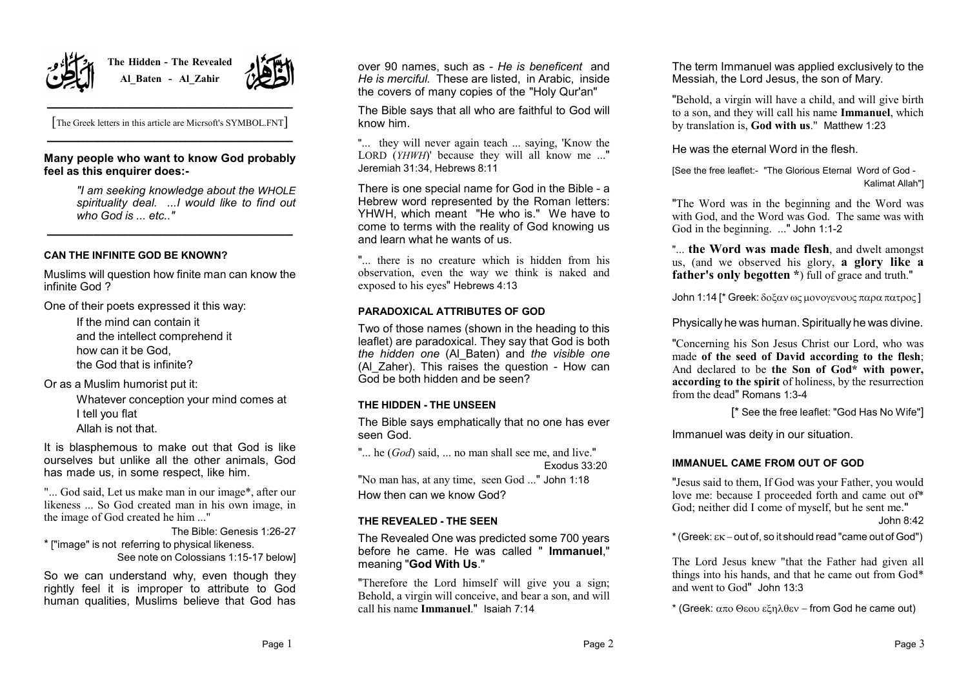

**The Hidden - The Revealed Al\_Baten - Al\_Zahir**



**\_\_\_\_\_\_\_\_\_\_\_\_\_\_\_\_\_\_\_\_\_\_\_\_\_\_\_\_\_\_\_\_** [The Greek letters in this article are Micrsoft's SYMBOL.FNT] **\_\_\_\_\_\_\_\_\_\_\_\_\_\_\_\_\_\_\_\_\_\_\_\_\_\_\_\_\_\_\_\_**

## **Many people who want to know God probably feel as this enquirer does:-**

*"I am seeking knowledge about the WHOLE spirituality deal. ...I would like to find out who God is ... etc.."* **\_\_\_\_\_\_\_\_\_\_\_\_\_\_\_\_\_\_\_\_\_\_\_\_\_\_\_\_\_\_\_\_**

## **CAN THE INFINITE GOD BE KNOWN?**

Muslims will question how finite man can know the infinite God ?

One of their poets expressed it this way:

If the mind can contain it and the intellect comprehend it how can it be God, the God that is infinite?

Or as a Muslim humorist put it:

Whatever conception your mind comes at I tell you flat Allah is not that.

It is blasphemous to make out that God is like ourselves but unlike all the other animals, God has made us, in some respect, like him.

"... God said, Let us make man in our image\*, after our likeness ... So God created man in his own image, in the image of God created he him ..."

The Bible: Genesis 1:26-27 \* ["image" is not referring to physical likeness. See note on Colossians 1:15-17 below]

So we can understand why, even though they rightly feel it is improper to attribute to God human qualities, Muslims believe that God has

over 90 names, such as - *He is beneficent* and *He is merciful.* These are listed, in Arabic, inside the covers of many copies of the "Holy Qur'an"

The Bible says that all who are faithful to God will know him.

"... they will never again teach ... saying, 'Know the LORD (*YHWH*)' because they will all know me ..." Jeremiah 31:34, Hebrews 8:11

There is one special name for God in the Bible - a Hebrew word represented by the Roman letters: YHWH, which meant "He who is." We have to come to terms with the reality of God knowing us and learn what he wants of us.

"... there is no creature which is hidden from his observation, even the way we think is naked and exposed to his eyes" Hebrews 4:13

## **PARADOXICAL ATTRIBUTES OF GOD**

Two of those names (shown in the heading to this leaflet) are paradoxical. They say that God is both *the hidden one* (Al\_Baten) and *the visible one* (Al Zaher). This raises the question - How can God be both hidden and be seen?

# **THE HIDDEN - THE UNSEEN**

The Bible says emphatically that no one has ever seen God.

"... he (*God*) said, ... no man shall see me, and live." Exodus 33:20

"No man has, at any time, seen God ..." John 1:18 How then can we know God?

#### **THE REVEALED - THE SEEN**

The Revealed One was predicted some 700 years before he came. He was called " **Immanuel**," meaning "**God With Us**."

"Therefore the Lord himself will give you a sign; Behold, a virgin will conceive, and bear a son, and will call his name **Immanuel**."Isaiah 7:14

The term Immanuel was applied exclusively to the Messiah, the Lord Jesus, the son of Mary.

"Behold, a virgin will have a child, and will give birth to a son, and they will call his name **Immanuel**, which by translation is, **God with us**." Matthew 1:23

He was the eternal Word in the flesh.

[See the free leaflet:- "The Glorious Eternal Word of God - Kalimat Allah"]

"The Word was in the beginning and the Word was with God, and the Word was God. The same was with God in the beginning. ..." John 1:1-2

"... **the Word was made flesh**, and dwelt amongst us, (and we observed his glory, **a glory like a father's only begotten \***) full of grace and truth."

John 1:14 [\* Greek: δοξαν ως μονογενους παρα πατρος]

Physically he was human. Spiritually he was divine.

"Concerning his Son Jesus Christ our Lord, who was made **of the seed of David according to the flesh**; And declared to be **the Son of God\* with power, according to the spirit** of holiness, by the resurrection from the dead" Romans 1:3-4

[\* See the free leaflet: "God Has No Wife"]

Immanuel was deity in our situation.

#### **IMMANUEL CAME FROM OUT OF GOD**

"Jesus said to them, If God was your Father, you would love me: because I proceeded forth and came out of\* God; neither did I come of myself, but he sent me."

John 8:42

 $*(Greek: \varepsilon K-out of, so it should read "came out of God")$ 

The Lord Jesus knew "that the Father had given all things into his hands, and that he came out from God\* and went to God" John 13:3

 $*$  (Greek:  $\alpha \pi$ ο Θεου εξηλθεν – from God he came out)